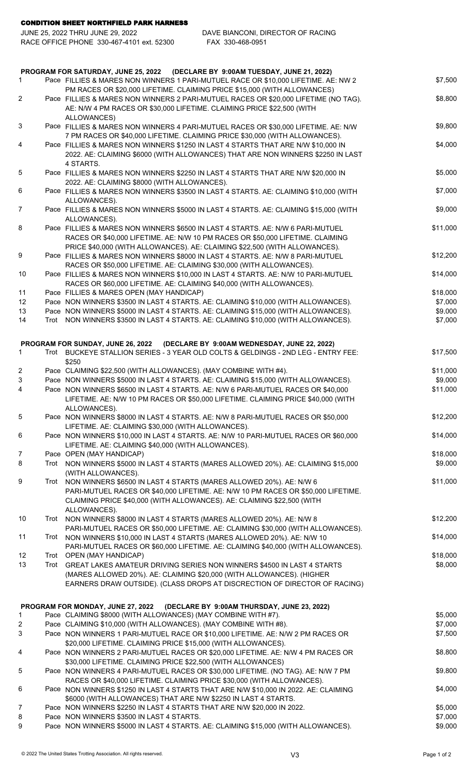CONDITION SHEET NORTHFIELD PARK HARNESS

| JUNE 25. 2022 THRU JUNE 29. 2022          | DAVE BIANCONI. DIRECTOR OF RACING |  |  |
|-------------------------------------------|-----------------------------------|--|--|
| RACE OFFICE PHONE 330-467-4101 ext. 52300 | FAX 330-468-0951                  |  |  |
|                                           |                                   |  |  |
|                                           |                                   |  |  |

| PROGRAM FOR SATURDAY, JUNE 25, 2022 (DECLARE BY 9:00AM TUESDAY, JUNE 21, 2022) |  |                                                                                                                                                                                                                                           |                     |  |
|--------------------------------------------------------------------------------|--|-------------------------------------------------------------------------------------------------------------------------------------------------------------------------------------------------------------------------------------------|---------------------|--|
| 1.                                                                             |  | Pace FILLIES & MARES NON WINNERS 1 PARI-MUTUEL RACE OR \$10,000 LIFETIME. AE: NW 2                                                                                                                                                        | \$7,500             |  |
| $\overline{2}$                                                                 |  | PM RACES OR \$20,000 LIFETIME. CLAIMING PRICE \$15,000 (WITH ALLOWANCES)<br>Pace FILLIES & MARES NON WINNERS 2 PARI-MUTUEL RACES OR \$20,000 LIFETIME (NO TAG).<br>AE: N/W 4 PM RACES OR \$30,000 LIFETIME. CLAIMING PRICE \$22,500 (WITH | \$8,800             |  |
| 3                                                                              |  | ALLOWANCES)<br>Pace FILLIES & MARES NON WINNERS 4 PARI-MUTUEL RACES OR \$30,000 LIFETIME. AE: N/W                                                                                                                                         | \$9,800             |  |
|                                                                                |  | 7 PM RACES OR \$40,000 LIFETIME. CLAIMING PRICE \$30,000 (WITH ALLOWANCES).                                                                                                                                                               |                     |  |
| 4                                                                              |  | Pace FILLIES & MARES NON WINNERS \$1250 IN LAST 4 STARTS THAT ARE N/W \$10,000 IN<br>2022. AE: CLAIMING \$6000 (WITH ALLOWANCES) THAT ARE NON WINNERS \$2250 IN LAST<br>4 STARTS.                                                         | \$4,000             |  |
| 5                                                                              |  | Pace FILLIES & MARES NON WINNERS \$2250 IN LAST 4 STARTS THAT ARE N/W \$20,000 IN<br>2022. AE: CLAIMING \$8000 (WITH ALLOWANCES).                                                                                                         | \$5,000             |  |
| 6                                                                              |  | Pace FILLIES & MARES NON WINNERS \$3500 IN LAST 4 STARTS. AE: CLAIMING \$10,000 (WITH<br>ALLOWANCES).                                                                                                                                     | \$7,000             |  |
| $\overline{7}$                                                                 |  | Pace FILLIES & MARES NON WINNERS \$5000 IN LAST 4 STARTS. AE: CLAIMING \$15,000 (WITH<br>ALLOWANCES).                                                                                                                                     | \$9,000             |  |
| 8                                                                              |  | Pace FILLIES & MARES NON WINNERS \$6500 IN LAST 4 STARTS. AE: N/W 6 PARI-MUTUEL<br>RACES OR \$40,000 LIFETIME. AE: N/W 10 PM RACES OR \$50,000 LIFETIME. CLAIMING                                                                         | \$11,000            |  |
|                                                                                |  | PRICE \$40,000 (WITH ALLOWANCES). AE: CLAIMING \$22,500 (WITH ALLOWANCES).                                                                                                                                                                |                     |  |
| 9                                                                              |  | Pace FILLIES & MARES NON WINNERS \$8000 IN LAST 4 STARTS. AE: N/W 8 PARI-MUTUEL<br>RACES OR \$50,000 LIFETIME. AE: CLAIMING \$30,000 (WITH ALLOWANCES).                                                                                   | \$12,200            |  |
| 10                                                                             |  | Pace FILLIES & MARES NON WINNERS \$10,000 IN LAST 4 STARTS. AE: N/W 10 PARI-MUTUEL                                                                                                                                                        | \$14,000            |  |
|                                                                                |  | RACES OR \$60,000 LIFETIME. AE: CLAIMING \$40,000 (WITH ALLOWANCES).                                                                                                                                                                      |                     |  |
| 11<br>12                                                                       |  | Pace FILLIES & MARES OPEN (MAY HANDICAP)<br>Pace NON WINNERS \$3500 IN LAST 4 STARTS. AE: CLAIMING \$10,000 (WITH ALLOWANCES).                                                                                                            | \$18,000<br>\$7,000 |  |
| 13                                                                             |  | Pace NON WINNERS \$5000 IN LAST 4 STARTS. AE: CLAIMING \$15,000 (WITH ALLOWANCES).                                                                                                                                                        | \$9,000             |  |
| 14                                                                             |  | Trot NON WINNERS \$3500 IN LAST 4 STARTS. AE: CLAIMING \$10,000 (WITH ALLOWANCES).                                                                                                                                                        | \$7,000             |  |
|                                                                                |  |                                                                                                                                                                                                                                           |                     |  |
| 1.                                                                             |  | PROGRAM FOR SUNDAY, JUNE 26, 2022 (DECLARE BY 9:00AM WEDNESDAY, JUNE 22, 2022)<br>Trot BUCKEYE STALLION SERIES - 3 YEAR OLD COLTS & GELDINGS - 2ND LEG - ENTRY FEE:                                                                       | \$17,500            |  |
|                                                                                |  | \$250                                                                                                                                                                                                                                     |                     |  |
| $\overline{2}$                                                                 |  | Pace CLAIMING \$22,500 (WITH ALLOWANCES). (MAY COMBINE WITH #4).                                                                                                                                                                          | \$11,000            |  |
| 3                                                                              |  | Pace NON WINNERS \$5000 IN LAST 4 STARTS. AE: CLAIMING \$15,000 (WITH ALLOWANCES).                                                                                                                                                        | \$9,000             |  |
| 4                                                                              |  | Pace NON WINNERS \$6500 IN LAST 4 STARTS. AE: N/W 6 PARI-MUTUEL RACES OR \$40,000<br>LIFETIME. AE: N/W 10 PM RACES OR \$50,000 LIFETIME. CLAIMING PRICE \$40,000 (WITH<br>ALLOWANCES).                                                    | \$11,000            |  |
| 5                                                                              |  | Pace NON WINNERS \$8000 IN LAST 4 STARTS. AE: N/W 8 PARI-MUTUEL RACES OR \$50,000<br>LIFETIME. AE: CLAIMING \$30,000 (WITH ALLOWANCES).                                                                                                   | \$12,200            |  |
| 6                                                                              |  | Pace NON WINNERS \$10,000 IN LAST 4 STARTS. AE: N/W 10 PARI-MUTUEL RACES OR \$60,000<br>LIFETIME. AE: CLAIMING \$40,000 (WITH ALLOWANCES).                                                                                                | \$14,000            |  |
| 7                                                                              |  | Pace OPEN (MAY HANDICAP)                                                                                                                                                                                                                  | \$18,000            |  |
| 8                                                                              |  | Trot NON WINNERS \$5000 IN LAST 4 STARTS (MARES ALLOWED 20%). AE: CLAIMING \$15,000<br>(WITH ALLOWANCES).                                                                                                                                 | \$9,000             |  |
| 9                                                                              |  | Trot NON WINNERS \$6500 IN LAST 4 STARTS (MARES ALLOWED 20%). AE: N/W 6                                                                                                                                                                   | \$11,000            |  |
|                                                                                |  | PARI-MUTUEL RACES OR \$40,000 LIFETIME. AE: N/W 10 PM RACES OR \$50,000 LIFETIME.<br>CLAIMING PRICE \$40,000 (WITH ALLOWANCES). AE: CLAIMING \$22,500 (WITH<br>ALLOWANCES).                                                               |                     |  |
| 10                                                                             |  | Trot NON WINNERS \$8000 IN LAST 4 STARTS (MARES ALLOWED 20%). AE: N/W 8<br>PARI-MUTUEL RACES OR \$50,000 LIFETIME. AE: CLAIMING \$30,000 (WITH ALLOWANCES).                                                                               | \$12,200            |  |
| 11                                                                             |  | Trot NON WINNERS \$10,000 IN LAST 4 STARTS (MARES ALLOWED 20%). AE: N/W 10                                                                                                                                                                | \$14,000            |  |
| 12                                                                             |  | PARI-MUTUEL RACES OR \$60,000 LIFETIME. AE: CLAIMING \$40,000 (WITH ALLOWANCES).                                                                                                                                                          | \$18,000            |  |
| 13                                                                             |  | Trot OPEN (MAY HANDICAP)<br>Trot GREAT LAKES AMATEUR DRIVING SERIES NON WINNERS \$4500 IN LAST 4 STARTS                                                                                                                                   | \$8,000             |  |
|                                                                                |  | (MARES ALLOWED 20%). AE: CLAIMING \$20,000 (WITH ALLOWANCES). (HIGHER                                                                                                                                                                     |                     |  |
|                                                                                |  | EARNERS DRAW OUTSIDE). (CLASS DROPS AT DISCRECTION OF DIRECTOR OF RACING)                                                                                                                                                                 |                     |  |
|                                                                                |  | PROGRAM FOR MONDAY, JUNE 27, 2022 (DECLARE BY 9:00AM THURSDAY, JUNE 23, 2022)                                                                                                                                                             |                     |  |
| $\mathbf{1}$                                                                   |  | Pace CLAIMING \$8000 (WITH ALLOWANCES) (MAY COMBINE WITH #7).                                                                                                                                                                             | \$5,000             |  |
| 2                                                                              |  | Pace CLAIMING \$10,000 (WITH ALLOWANCES). (MAY COMBINE WITH #8).                                                                                                                                                                          | \$7,000             |  |
| 3                                                                              |  | Pace NON WINNERS 1 PARI-MUTUEL RACE OR \$10,000 LIFETIME. AE: N/W 2 PM RACES OR<br>\$20,000 LIFETIME. CLAIMING PRICE \$15,000 (WITH ALLOWANCES).                                                                                          | \$7,500             |  |
| 4                                                                              |  | Pace NON WINNERS 2 PARI-MUTUEL RACES OR \$20,000 LIFETIME. AE: N/W 4 PM RACES OR<br>\$30,000 LIFETIME. CLAIMING PRICE \$22,500 (WITH ALLOWANCES)                                                                                          | \$8,800             |  |
| 5                                                                              |  | Pace NON WINNERS 4 PARI-MUTUEL RACES OR \$30,000 LIFETIME. (NO TAG). AE: N/W 7 PM<br>RACES OR \$40,000 LIFETIME. CLAIMING PRICE \$30,000 (WITH ALLOWANCES).                                                                               | \$9,800             |  |
| 6                                                                              |  | Pace NON WINNERS \$1250 IN LAST 4 STARTS THAT ARE N/W \$10,000 IN 2022. AE: CLAIMING<br>\$6000 (WITH ALLOWANCES) THAT ARE N/W \$2250 IN LAST 4 STARTS.                                                                                    | \$4,000             |  |
| 7                                                                              |  | Pace NON WINNERS \$2250 IN LAST 4 STARTS THAT ARE N/W \$20,000 IN 2022.                                                                                                                                                                   | \$5,000             |  |
| 8                                                                              |  | Pace NON WINNERS \$3500 IN LAST 4 STARTS.                                                                                                                                                                                                 | \$7,000             |  |
| 9                                                                              |  | Pace NON WINNERS \$5000 IN LAST 4 STARTS. AE: CLAIMING \$15,000 (WITH ALLOWANCES).                                                                                                                                                        | \$9,000             |  |